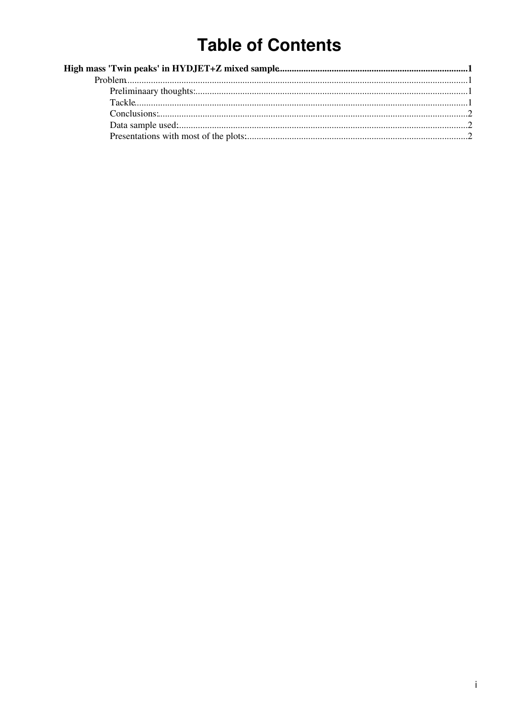# **Table of Contents**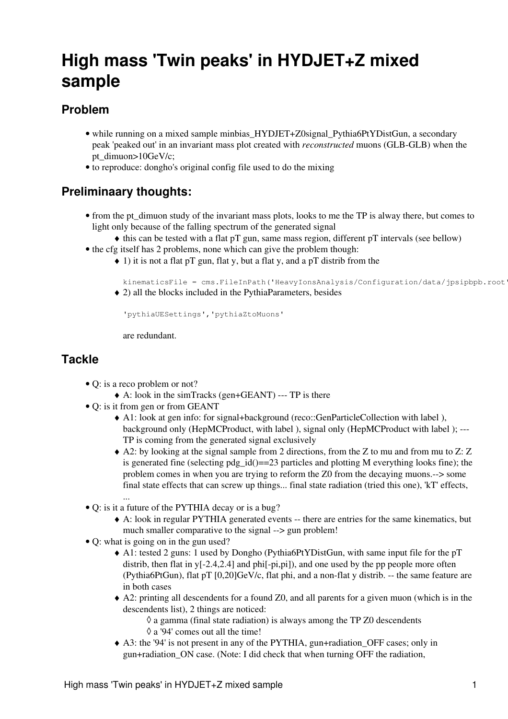## <span id="page-1-0"></span>**High mass 'Twin peaks' in HYDJET+Z mixed sample**

## <span id="page-1-1"></span>**Problem**

- while running on a mixed sample minbias\_HYDJET+Z0signal\_Pythia6PtYDistGun, a secondary peak 'peaked out' in [an invariant mass](https://twiki.cern.ch/twiki/bin/view/Main/CommonAnalysisCodeForZ0) plot created with *reconstructed* muons (GLB-GLB) when the pt\_dimuon>10GeV/c;
- to reproduce: dongho's original [config file](https://twiki.cern.ch/twiki/pub/Main/Z0InvMass/dongho_signal_zgun_mixedsample.py.txt) used to do the mixing

## <span id="page-1-2"></span>**Preliminaary thoughts:**

- from the pt\_dimuon study of the invariant mass plots, looks to me the TP is alway there, but comes to light only because of the falling spectrum of the generated signal
	- ♦ this can be tested with a flat pT gun, same mass region, different pT intervals (see bellow)
- the cfg itself has 2 problems, none which can give the problem though:
	- 1) it is not a flat pT gun, flat y, but a flat y, and a pT distrib from the ♦

kinematicsFile = cms.FileInPath('HeavyIonsAnalysis/Configuration/data/jpsipbpb.root')

2) all the blocks included in the [PythiaParameters](https://twiki.cern.ch/twiki/bin/edit/Main/PythiaParameters?topicparent=Main.Z0InvMass;nowysiwyg=1), besides ♦

'pythiaUESettings','pythiaZtoMuons'

are redundant.

### <span id="page-1-3"></span>**Tackle**

- Q: is a reco problem or not?
	- ♦ A: look in the simTracks (gen+GEANT) --- TP is there
- Q: is it from gen or from GEANT
	- A1: look at gen info: for signal+background (reco::GenParticleCollection with label ), ♦ background only ([HepMCProduct](https://twiki.cern.ch/twiki/bin/edit/Main/HepMCProduct?topicparent=Main.Z0InvMass;nowysiwyg=1), with label ), signal only [\(HepMCProduct](https://twiki.cern.ch/twiki/bin/edit/Main/HepMCProduct?topicparent=Main.Z0InvMass;nowysiwyg=1) with label ); --- TP is coming from the generated signal exclusively
	- A2: by looking at the signal sample from 2 directions, from the Z to mu and from mu to Z: Z ♦ is generated fine (selecting pdg  $id$ ) =  $=$  23 particles and plotting M everything looks fine); the problem comes in when you are trying to reform the Z0 from the decaying muons.--> some final state effects that can screw up things... final state radiation (tried this one), 'kT' effects, ...
- Q: is it a future of the PYTHIA decay or is a bug?
	- A: look in regular PYTHIA generated events -- there are entries for the same kinematics, but ♦ much smaller comparative to the signal --> gun problem!
- Q: what is going on in the gun used?
	- A1: tested 2 guns: 1 used by Dongho [\(Pythia6PtYDistGun](https://twiki.cern.ch/twiki/bin/edit/Main/Pythia6PtYDistGun?topicparent=Main.Z0InvMass;nowysiwyg=1), with same input file for the pT ♦ distrib, then flat in  $y[-2.4,2.4]$  and  $phi[-pi,pi])$ , and one used by the pp people more often ([Pythia6PtGun](https://twiki.cern.ch/twiki/bin/edit/Main/Pythia6PtGun?topicparent=Main.Z0InvMass;nowysiwyg=1)), flat pT [0,20]GeV/c, flat phi, and a non-flat y distrib. -- the same feature are in both cases
	- A2: printing all descendents for a found Z0, and all parents for a given muon (which is in the ♦ descendents list), 2 things are noticed:
		- $\Diamond$  a gamma (final state radiation) is always among the TP Z0 descendents ◊ a '94' comes out all the time!
	- A3: the '94' is not present in any of the PYTHIA, gun+radiation\_OFF cases; only in ♦ gun+radiation\_ON case. (Note: I did check that when turning OFF the radiation,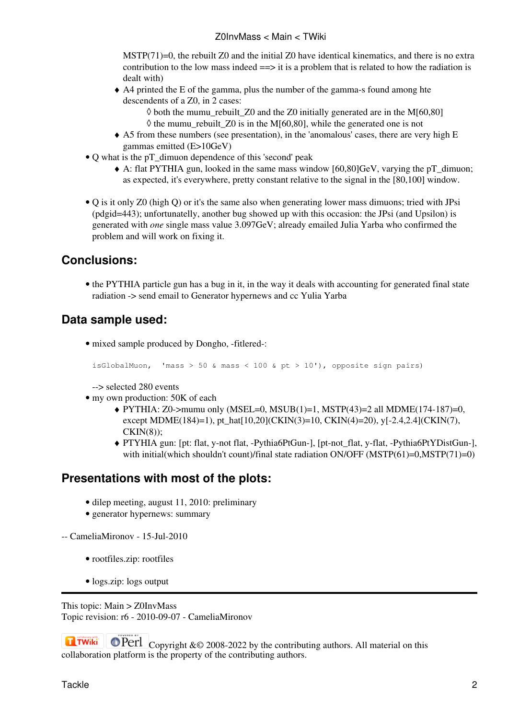MSTP $(71)=0$ , the rebuilt Z0 and the initial Z0 have identical kinematics, and there is no extra contribution to the low mass indeed  $\equiv$   $\geq$  it is a problem that is related to how the radiation is dealt with)

- A4 printed the E of the gamma, plus the number of the gamma-s found among hte ♦ descendents of a Z0, in 2 cases:
	- $\Diamond$  both the mumu rebuilt Z0 and the Z0 initially generated are in the M[60,80]  $\Diamond$  the mumu rebuilt Z0 is in the M[60,80], while the generated one is not
- A5 from these numbers (see presentation), in the 'anomalous' cases, there are very high E ♦ gammas emitted (E>10GeV)
- Q what is the pT\_dimuon dependence of this 'second' peak
	- A: flat PYTHIA gun, looked in the same mass window [60,80]GeV, varying the pT\_dimuon; ♦ as expected, it's everywhere, pretty constant relative to the signal in the [80,100] window.
- Q is it only Z0 (high Q) or it's the same also when generating lower mass dimuons; tried with JPsi (pdgid=443); unfortunatelly, another bug showed up with this occasion: the JPsi (and Upsilon) is generated with *one* single mass value 3.097GeV; already emailed Julia Yarba who confirmed the problem and will work on fixing it.

### <span id="page-2-0"></span>**Conclusions:**

• the PYTHIA particle gun has a bug in it, in the way it deals with accounting for generated final state radiation -> send email to Generator hypernews and cc Yulia Yarba

## <span id="page-2-1"></span>**Data sample used:**

• mixed sample produced by Dongho, -fitlered-:

isGlobalMuon, 'mass > 50 & mass < 100 & pt > 10'), opposite sign pairs)

--> selected 280 events

- my own production: 50K of each
	- PYTHIA: Z0->mumu only (MSEL=0, MSUB(1)=1, MSTP(43)=2 all MDME(174-187)=0, ♦ except MDME(184)=1), pt\_hat[10,20](CKIN(3)=10, CKIN(4)=20), y[-2.4,2.4](CKIN(7), CKIN(8));
	- PTYHIA gun: [pt: flat, y-not flat, -Pythia6PtGun-], [pt-not\_flat, y-flat, -Pythia6PtYDistGun-], ♦ with initial(which shouldn't count)/final state radiation ON/OFF (MSTP(61)=0,MSTP(71)=0)

## <span id="page-2-2"></span>**Presentations with most of the plots:**

- dilep meeting, august 11, 2010: [preliminary](https://twiki.cern.ch/twiki/pub/Main/Z0InvMass/dilep_11aug2010_twinpeaks.pdf)
- generator hypernews: [summary](https://twiki.cern.ch/twiki/pub/Main/Z0InvMass/genhyper_twinpeaks_12aug2010.pdf)
- -- [CameliaMironov](https://twiki.cern.ch/twiki/bin/view/Main/CameliaMironov) 15-Jul-2010
	- [rootfiles.zip:](https://twiki.cern.ch/twiki/pub/Main/Z0InvMass/rootfiles.zip) rootfiles
	- [logs.zip](https://twiki.cern.ch/twiki/pub/Main/Z0InvMass/logs.zip): logs output

This topic: Main > Z0InvMass Topic revision: r6 - 2010-09-07 - CameliaMironov

**T**TWiki **OPETI** Copyright &© 2008-2022 by the contributing authors. All material on this collaboration platform is the property of the contributing authors.